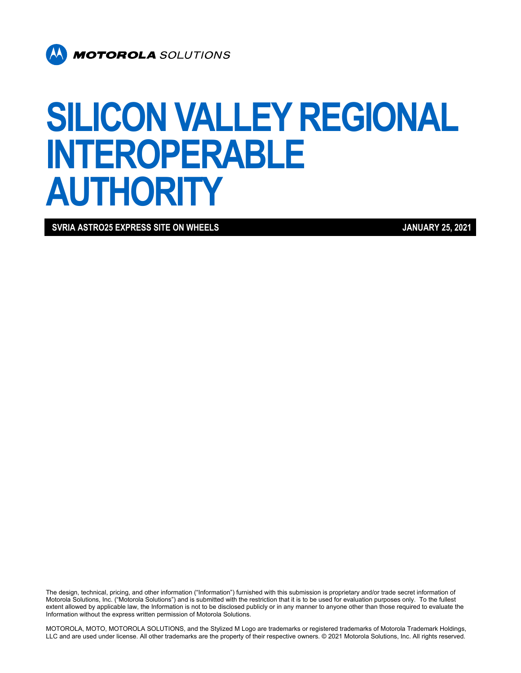

# **SILICON VALLEY REGIONAL INTEROPERABLE AUTHORITY**

**SVRIA ASTRO25 EXPRESS SITE ON WHEELS JANUARY 25, 2021** 

The design, technical, pricing, and other information ("Information") furnished with this submission is proprietary and/or trade secret information of Motorola Solutions, Inc. ("Motorola Solutions") and is submitted with the restriction that it is to be used for evaluation purposes only. To the fullest extent allowed by applicable law, the Information is not to be disclosed publicly or in any manner to anyone other than those required to evaluate the Information without the express written permission of Motorola Solutions.

MOTOROLA, MOTO, MOTOROLA SOLUTIONS, and the Stylized M Logo are trademarks or registered trademarks of Motorola Trademark Holdings, LLC and are used under license. All other trademarks are the property of their respective owners. © 2021 Motorola Solutions, Inc. All rights reserved.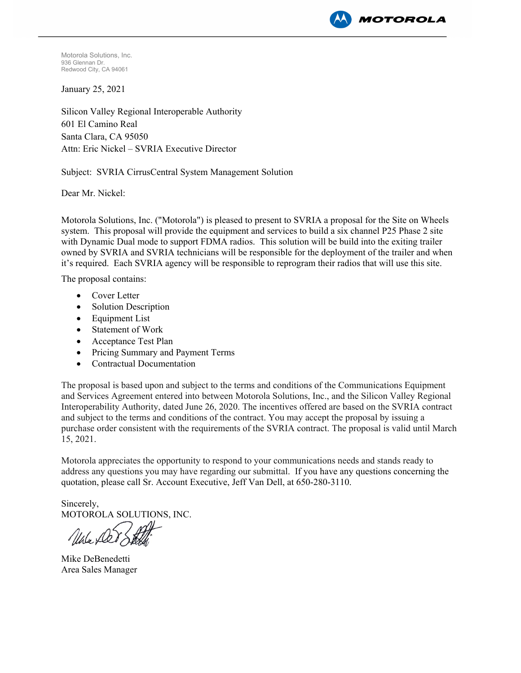

Motorola Solutions, Inc. 936 Glennan Dr. Redwood City, CA 94061

January 25, 2021

Silicon Valley Regional Interoperable Authority 601 El Camino Real Santa Clara, CA 95050 Attn: Eric Nickel – SVRIA Executive Director

Subject: SVRIA CirrusCentral System Management Solution

Dear Mr. Nickel:

Motorola Solutions, Inc. ("Motorola") is pleased to present to SVRIA a proposal for the Site on Wheels system. This proposal will provide the equipment and services to build a six channel P25 Phase 2 site with Dynamic Dual mode to support FDMA radios. This solution will be build into the exiting trailer owned by SVRIA and SVRIA technicians will be responsible for the deployment of the trailer and when it's required. Each SVRIA agency will be responsible to reprogram their radios that will use this site.

The proposal contains:

- Cover Letter
- Solution Description
- Equipment List
- Statement of Work
- Acceptance Test Plan
- Pricing Summary and Payment Terms
- Contractual Documentation

The proposal is based upon and subject to the terms and conditions of the Communications Equipment and Services Agreement entered into between Motorola Solutions, Inc., and the Silicon Valley Regional Interoperability Authority, dated June 26, 2020. The incentives offered are based on the SVRIA contract and subject to the terms and conditions of the contract. You may accept the proposal by issuing a purchase order consistent with the requirements of the SVRIA contract. The proposal is valid until March 15, 2021.

Motorola appreciates the opportunity to respond to your communications needs and stands ready to address any questions you may have regarding our submittal. If you have any questions concerning the quotation, please call Sr. Account Executive, Jeff Van Dell, at 650-280-3110.

Sincerely, MOTOROLA SOLUTIONS, INC.

Unle Der Ste

Mike DeBenedetti Area Sales Manager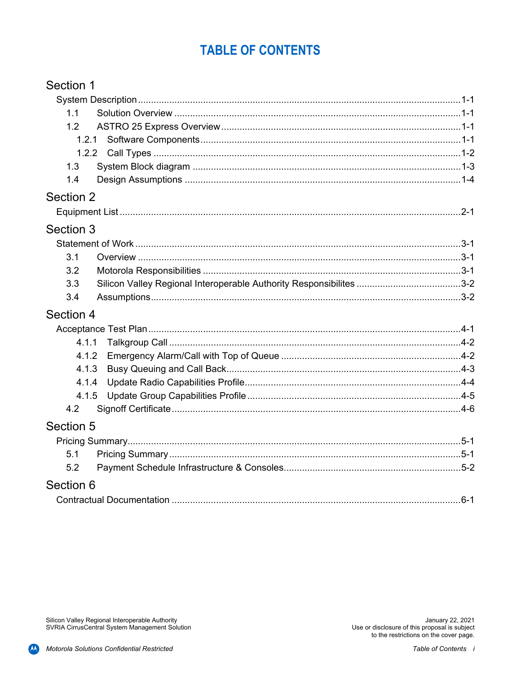### **TABLE OF CONTENTS**

| Section 1 |  |
|-----------|--|
|           |  |
| 1.1       |  |
| 1.2       |  |
| 1.2.1     |  |
| 1.2.2     |  |
| 1.3       |  |
| 1.4       |  |
| Section 2 |  |
|           |  |
| Section 3 |  |
|           |  |
| 3.1       |  |
| 3.2       |  |
| 3.3       |  |
| 3.4       |  |
| Section 4 |  |
|           |  |
| 4.1.1     |  |
| 4.1.2     |  |
| 4.1.3     |  |
| 4.1.4     |  |
| 4.1.5     |  |
| 4.2       |  |
| Section 5 |  |
|           |  |
| 5.1       |  |
| 5.2       |  |
| Section 6 |  |
|           |  |

Silicon Valley Regional Interoperable Authority<br>SVRIA CirrusCentral System Management Solution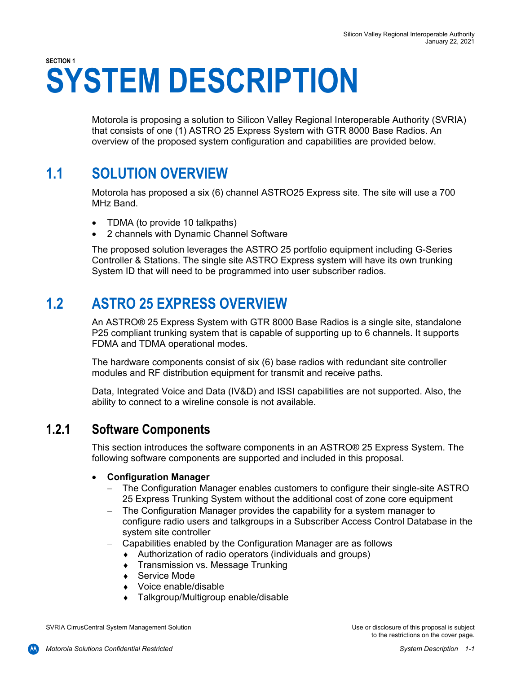# **SECTION 1 SYSTEM DESCRIPTION**

Motorola is proposing a solution to Silicon Valley Regional Interoperable Authority (SVRIA) that consists of one (1) ASTRO 25 Express System with GTR 8000 Base Radios. An overview of the proposed system configuration and capabilities are provided below.

### **1.1 SOLUTION OVERVIEW**

Motorola has proposed a six (6) channel ASTRO25 Express site. The site will use a 700 MHz Band.

- TDMA (to provide 10 talkpaths)
- 2 channels with Dynamic Channel Software

The proposed solution leverages the ASTRO 25 portfolio equipment including G-Series Controller & Stations. The single site ASTRO Express system will have its own trunking System ID that will need to be programmed into user subscriber radios.

### **1.2 ASTRO 25 EXPRESS OVERVIEW**

An ASTRO® 25 Express System with GTR 8000 Base Radios is a single site, standalone P25 compliant trunking system that is capable of supporting up to 6 channels. It supports FDMA and TDMA operational modes.

The hardware components consist of six (6) base radios with redundant site controller modules and RF distribution equipment for transmit and receive paths.

Data, Integrated Voice and Data (IV&D) and ISSI capabilities are not supported. Also, the ability to connect to a wireline console is not available.

#### **1.2.1 Software Components**

This section introduces the software components in an ASTRO® 25 Express System. The following software components are supported and included in this proposal.

#### **Configuration Manager**

- The Configuration Manager enables customers to configure their single-site ASTRO 25 Express Trunking System without the additional cost of zone core equipment
- The Configuration Manager provides the capability for a system manager to configure radio users and talkgroups in a Subscriber Access Control Database in the system site controller
- Capabilities enabled by the Configuration Manager are as follows
	- Authorization of radio operators (individuals and groups)
	- **Transmission vs. Message Trunking**
	- ◆ Service Mode
	- ◆ Voice enable/disable
	- ◆ Talkgroup/Multigroup enable/disable

SVRIA CirrusCentral System Management Solution Use or disclosure of this proposal is subject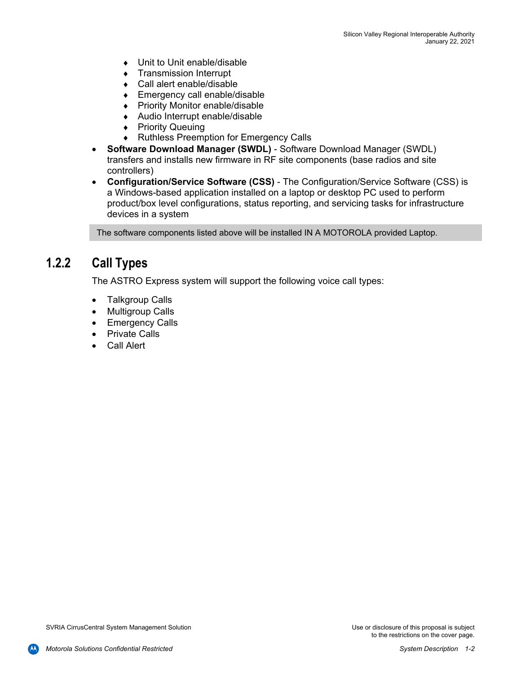- ◆ Unit to Unit enable/disable
- **Transmission Interrupt**
- Call alert enable/disable
- ◆ Emergency call enable/disable
- ◆ Priority Monitor enable/disable
- Audio Interrupt enable/disable
- ◆ Priority Queuing
- Ruthless Preemption for Emergency Calls
- **Software Download Manager (SWDL)** Software Download Manager (SWDL) transfers and installs new firmware in RF site components (base radios and site controllers)
- **Configuration/Service Software (CSS)** The Configuration/Service Software (CSS) is a Windows-based application installed on a laptop or desktop PC used to perform product/box level configurations, status reporting, and servicing tasks for infrastructure devices in a system

The software components listed above will be installed IN A MOTOROLA provided Laptop.

### **1.2.2 Call Types**

The ASTRO Express system will support the following voice call types:

- Talkgroup Calls
- Multigroup Calls
- Emergency Calls
- Private Calls
- Call Alert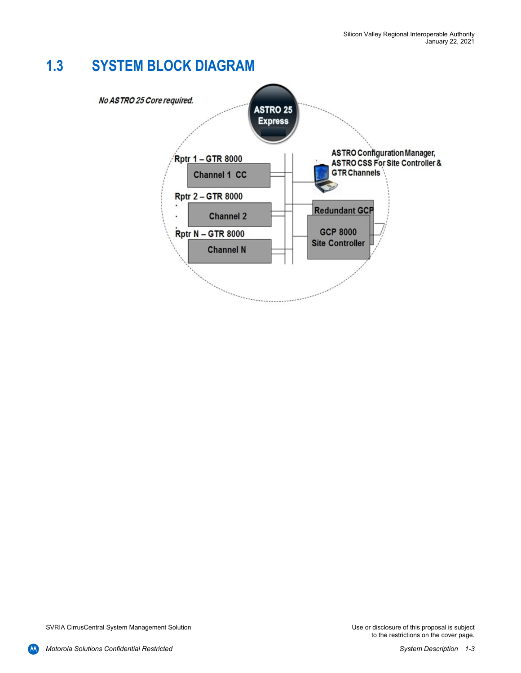### **1.3 SYSTEM BLOCK DIAGRAM**

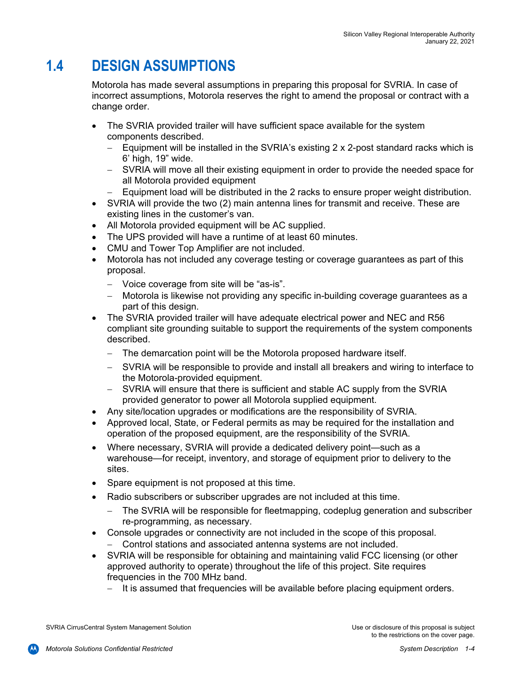### **1.4 DESIGN ASSUMPTIONS**

Motorola has made several assumptions in preparing this proposal for SVRIA. In case of incorrect assumptions, Motorola reserves the right to amend the proposal or contract with a change order.

- The SVRIA provided trailer will have sufficient space available for the system components described.
	- $-$  Equipment will be installed in the SVRIA's existing 2 x 2-post standard racks which is 6' high, 19" wide.
	- SVRIA will move all their existing equipment in order to provide the needed space for all Motorola provided equipment
	- Equipment load will be distributed in the 2 racks to ensure proper weight distribution.
- SVRIA will provide the two (2) main antenna lines for transmit and receive. These are existing lines in the customer's van.
- All Motorola provided equipment will be AC supplied.
- The UPS provided will have a runtime of at least 60 minutes.
- CMU and Tower Top Amplifier are not included.
- Motorola has not included any coverage testing or coverage guarantees as part of this proposal.
	- Voice coverage from site will be "as-is".
	- Motorola is likewise not providing any specific in-building coverage guarantees as a part of this design.
- The SVRIA provided trailer will have adequate electrical power and NEC and R56 compliant site grounding suitable to support the requirements of the system components described.
	- The demarcation point will be the Motorola proposed hardware itself.
	- SVRIA will be responsible to provide and install all breakers and wiring to interface to the Motorola-provided equipment.
	- SVRIA will ensure that there is sufficient and stable AC supply from the SVRIA provided generator to power all Motorola supplied equipment.
- Any site/location upgrades or modifications are the responsibility of SVRIA.
- Approved local, State, or Federal permits as may be required for the installation and operation of the proposed equipment, are the responsibility of the SVRIA.
- Where necessary, SVRIA will provide a dedicated delivery point—such as a warehouse—for receipt, inventory, and storage of equipment prior to delivery to the sites.
- Spare equipment is not proposed at this time.
- Radio subscribers or subscriber upgrades are not included at this time.
	- The SVRIA will be responsible for fleetmapping, codeplug generation and subscriber re-programming, as necessary.
- Console upgrades or connectivity are not included in the scope of this proposal. Control stations and associated antenna systems are not included.
- SVRIA will be responsible for obtaining and maintaining valid FCC licensing (or other approved authority to operate) throughout the life of this project. Site requires frequencies in the 700 MHz band.
	- $-$  It is assumed that frequencies will be available before placing equipment orders.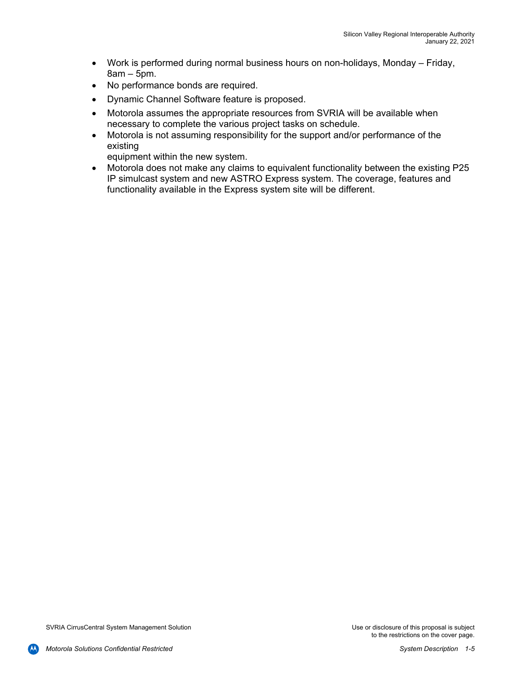- Work is performed during normal business hours on non-holidays, Monday Friday, 8am – 5pm.
- No performance bonds are required.
- Dynamic Channel Software feature is proposed.
- Motorola assumes the appropriate resources from SVRIA will be available when necessary to complete the various project tasks on schedule.
- Motorola is not assuming responsibility for the support and/or performance of the existing

equipment within the new system.

 Motorola does not make any claims to equivalent functionality between the existing P25 IP simulcast system and new ASTRO Express system. The coverage, features and functionality available in the Express system site will be different.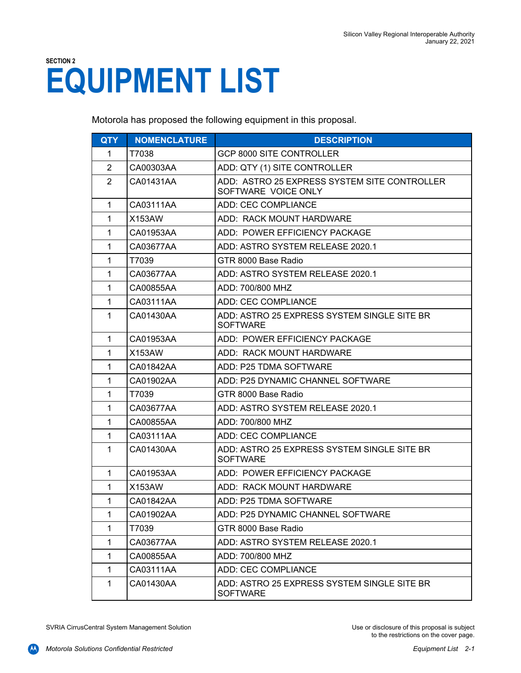# **SECTION 2 EQUIPMENT LIST**

Motorola has proposed the following equipment in this proposal.

| <b>QTY</b>     | <b>NOMENCLATURE</b> | <b>DESCRIPTION</b>                                                  |
|----------------|---------------------|---------------------------------------------------------------------|
| $\mathbf 1$    | T7038               | <b>GCP 8000 SITE CONTROLLER</b>                                     |
| $\overline{2}$ | CA00303AA           | ADD: QTY (1) SITE CONTROLLER                                        |
| $\overline{2}$ | CA01431AA           | ADD: ASTRO 25 EXPRESS SYSTEM SITE CONTROLLER<br>SOFTWARE VOICE ONLY |
| $\mathbf{1}$   | CA03111AA           | ADD: CEC COMPLIANCE                                                 |
| $\mathbf{1}$   | X153AW              | ADD: RACK MOUNT HARDWARE                                            |
| $\mathbf{1}$   | CA01953AA           | ADD: POWER EFFICIENCY PACKAGE                                       |
| $\mathbf 1$    | CA03677AA           | ADD: ASTRO SYSTEM RELEASE 2020.1                                    |
| $\mathbf{1}$   | T7039               | GTR 8000 Base Radio                                                 |
| $\mathbf{1}$   | CA03677AA           | ADD: ASTRO SYSTEM RELEASE 2020.1                                    |
| $\mathbf{1}$   | CA00855AA           | ADD: 700/800 MHZ                                                    |
| $\mathbf{1}$   | CA03111AA           | ADD: CEC COMPLIANCE                                                 |
| $\mathbf{1}$   | CA01430AA           | ADD: ASTRO 25 EXPRESS SYSTEM SINGLE SITE BR<br><b>SOFTWARE</b>      |
| $\mathbf{1}$   | CA01953AA           | ADD: POWER EFFICIENCY PACKAGE                                       |
| $\mathbf 1$    | X153AW              | ADD: RACK MOUNT HARDWARE                                            |
| $\mathbf{1}$   | CA01842AA           | ADD: P25 TDMA SOFTWARE                                              |
| $\mathbf{1}$   | CA01902AA           | ADD: P25 DYNAMIC CHANNEL SOFTWARE                                   |
| $\mathbf 1$    | T7039               | GTR 8000 Base Radio                                                 |
| $\mathbf{1}$   | CA03677AA           | ADD: ASTRO SYSTEM RELEASE 2020.1                                    |
| $\mathbf{1}$   | CA00855AA           | ADD: 700/800 MHZ                                                    |
| 1              | CA03111AA           | ADD: CEC COMPLIANCE                                                 |
| $\mathbf{1}$   | CA01430AA           | ADD: ASTRO 25 EXPRESS SYSTEM SINGLE SITE BR<br><b>SOFTWARE</b>      |
| $\mathbf{1}$   | CA01953AA           | ADD: POWER EFFICIENCY PACKAGE                                       |
| 1              | X153AW              | ADD: RACK MOUNT HARDWARE                                            |
| $\mathbf{1}$   | CA01842AA           | ADD: P25 TDMA SOFTWARE                                              |
| $\mathbf{1}$   | CA01902AA           | ADD: P25 DYNAMIC CHANNEL SOFTWARE                                   |
| $\mathbf{1}$   | T7039               | GTR 8000 Base Radio                                                 |
| 1              | CA03677AA           | ADD: ASTRO SYSTEM RELEASE 2020.1                                    |
| 1              | CA00855AA           | ADD: 700/800 MHZ                                                    |
| $\mathbf{1}$   | CA03111AA           | ADD: CEC COMPLIANCE                                                 |
| $\mathbf 1$    | CA01430AA           | ADD: ASTRO 25 EXPRESS SYSTEM SINGLE SITE BR<br><b>SOFTWARE</b>      |

SVRIA CirrusCentral System Management Solution Use or disclosure of this proposal is subject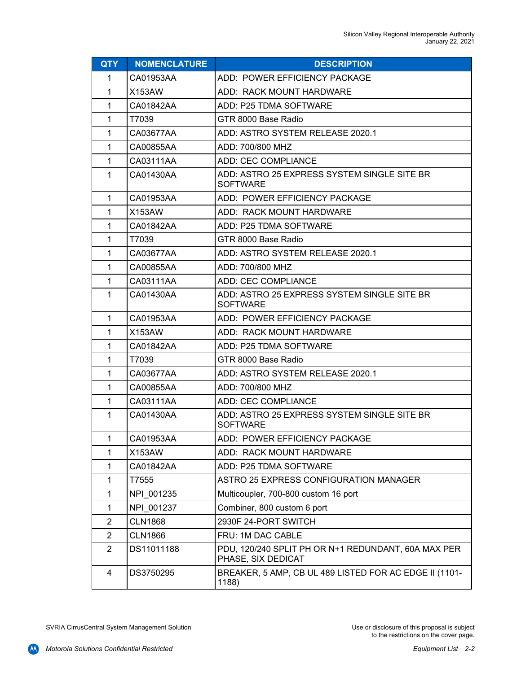| <b>QTY</b>     | <b>NOMENCLATURE</b> | <b>DESCRIPTION</b>                                                        |  |
|----------------|---------------------|---------------------------------------------------------------------------|--|
| 1              | CA01953AA           | ADD: POWER EFFICIENCY PACKAGE                                             |  |
| 1              | X153AW              | ADD: RACK MOUNT HARDWARE                                                  |  |
| 1              | CA01842AA           | ADD: P25 TDMA SOFTWARE                                                    |  |
| 1              | T7039               | GTR 8000 Base Radio                                                       |  |
| 1              | CA03677AA           | ADD: ASTRO SYSTEM RELEASE 2020.1                                          |  |
| 1              | CA00855AA           | ADD: 700/800 MHZ                                                          |  |
| 1              | CA03111AA           | ADD: CEC COMPLIANCE                                                       |  |
| 1              | CA01430AA           | ADD: ASTRO 25 EXPRESS SYSTEM SINGLE SITE BR<br><b>SOFTWARE</b>            |  |
| 1              | CA01953AA           | ADD: POWER EFFICIENCY PACKAGE                                             |  |
| 1              | X153AW              | ADD: RACK MOUNT HARDWARE                                                  |  |
| 1              | CA01842AA           | ADD: P25 TDMA SOFTWARE                                                    |  |
| 1              | T7039               | GTR 8000 Base Radio                                                       |  |
| 1              | CA03677AA           | ADD: ASTRO SYSTEM RELEASE 2020.1                                          |  |
| 1              | CA00855AA           | ADD: 700/800 MHZ                                                          |  |
| 1              | CA03111AA           | ADD: CEC COMPLIANCE                                                       |  |
| 1              | CA01430AA           | ADD: ASTRO 25 EXPRESS SYSTEM SINGLE SITE BR<br><b>SOFTWARE</b>            |  |
| 1              | CA01953AA           | ADD: POWER EFFICIENCY PACKAGE                                             |  |
| 1              | X153AW              | ADD: RACK MOUNT HARDWARE                                                  |  |
| 1              | CA01842AA           | ADD: P25 TDMA SOFTWARE                                                    |  |
| 1              | T7039               | GTR 8000 Base Radio                                                       |  |
| 1              | CA03677AA           | ADD: ASTRO SYSTEM RELEASE 2020.1                                          |  |
| 1              | CA00855AA           | ADD: 700/800 MHZ                                                          |  |
| 1              | CA03111AA           | <b>ADD: CEC COMPLIANCE</b>                                                |  |
| $\mathbf{1}$   | CA01430AA           | ADD: ASTRO 25 EXPRESS SYSTEM SINGLE SITE BR<br><b>SOFTWARE</b>            |  |
| 1              | CA01953AA           | ADD: POWER EFFICIENCY PACKAGE                                             |  |
| 1              | X153AW              | ADD: RACK MOUNT HARDWARE                                                  |  |
| 1              | CA01842AA           | ADD: P25 TDMA SOFTWARE                                                    |  |
| 1              | T7555               | ASTRO 25 EXPRESS CONFIGURATION MANAGER                                    |  |
| 1              | NPI 001235          | Multicoupler, 700-800 custom 16 port                                      |  |
| 1              | NPI 001237          | Combiner, 800 custom 6 port                                               |  |
| $\overline{c}$ | <b>CLN1868</b>      | 2930F 24-PORT SWITCH                                                      |  |
| $\overline{c}$ | <b>CLN1866</b>      | FRU: 1M DAC CABLE                                                         |  |
| $\overline{2}$ | DS11011188          | PDU, 120/240 SPLIT PH OR N+1 REDUNDANT, 60A MAX PER<br>PHASE, SIX DEDICAT |  |
| 4              | DS3750295           | BREAKER, 5 AMP, CB UL 489 LISTED FOR AC EDGE II (1101-<br>1188)           |  |

SVRIA CirrusCentral System Management Solution

**CAN**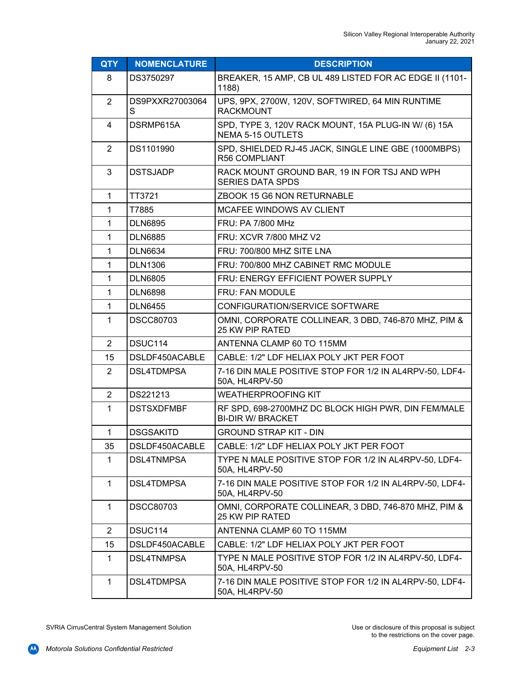| <b>QTY</b>     | <b>NOMENCLATURE</b>  | <b>DESCRIPTION</b>                                                               |
|----------------|----------------------|----------------------------------------------------------------------------------|
| 8              | DS3750297            | BREAKER, 15 AMP, CB UL 489 LISTED FOR AC EDGE II (1101-<br>1188)                 |
| $\overline{2}$ | DS9PXXR27003064<br>S | UPS, 9PX, 2700W, 120V, SOFTWIRED, 64 MIN RUNTIME<br><b>RACKMOUNT</b>             |
| $\overline{4}$ | DSRMP615A            | SPD, TYPE 3, 120V RACK MOUNT, 15A PLUG-IN W/ (6) 15A<br><b>NEMA 5-15 OUTLETS</b> |
| $\overline{2}$ | DS1101990            | SPD, SHIELDED RJ-45 JACK, SINGLE LINE GBE (1000MBPS)<br><b>R56 COMPLIANT</b>     |
| 3              | <b>DSTSJADP</b>      | RACK MOUNT GROUND BAR, 19 IN FOR TSJ AND WPH<br><b>SERIES DATA SPDS</b>          |
| $\mathbf{1}$   | TT3721               | ZBOOK 15 G6 NON RETURNABLE                                                       |
| 1              | T7885                | MCAFEE WINDOWS AV CLIENT                                                         |
| 1              | <b>DLN6895</b>       | FRU: PA 7/800 MHz                                                                |
| 1              | <b>DLN6885</b>       | FRU: XCVR 7/800 MHZ V2                                                           |
| 1              | <b>DLN6634</b>       | FRU: 700/800 MHZ SITE LNA                                                        |
| $\mathbf 1$    | <b>DLN1306</b>       | FRU: 700/800 MHZ CABINET RMC MODULE                                              |
| $\mathbf 1$    | <b>DLN6805</b>       | FRU: ENERGY EFFICIENT POWER SUPPLY                                               |
| 1              | <b>DLN6898</b>       | FRU: FAN MODULE                                                                  |
| $\mathbf{1}$   | <b>DLN6455</b>       | CONFIGURATION/SERVICE SOFTWARE                                                   |
| $\mathbf 1$    | <b>DSCC80703</b>     | OMNI, CORPORATE COLLINEAR, 3 DBD, 746-870 MHZ, PIM &<br>25 KW PIP RATED          |
| 2              | DSUC114              | ANTENNA CLAMP 60 TO 115MM                                                        |
| 15             | DSLDF450ACABLE       | CABLE: 1/2" LDF HELIAX POLY JKT PER FOOT                                         |
| $\overline{2}$ | DSL4TDMPSA           | 7-16 DIN MALE POSITIVE STOP FOR 1/2 IN AL4RPV-50, LDF4-<br>50A, HL4RPV-50        |
| $\overline{2}$ | DS221213             | <b>WEATHERPROOFING KIT</b>                                                       |
| $\mathbf{1}$   | <b>DSTSXDFMBF</b>    | RF SPD, 698-2700MHZ DC BLOCK HIGH PWR, DIN FEM/MALE<br><b>BI-DIR W/ BRACKET</b>  |
| 1              | <b>DSGSAKITD</b>     | <b>GROUND STRAP KIT - DIN</b>                                                    |
| 35             | DSLDF450ACABLE       | CABLE: 1/2" LDF HELIAX POLY JKT PER FOOT                                         |
| 1              | DSL4TNMPSA           | TYPE N MALE POSITIVE STOP FOR 1/2 IN AL4RPV-50, LDF4-<br>50A, HL4RPV-50          |
| $\mathbf 1$    | <b>DSL4TDMPSA</b>    | 7-16 DIN MALE POSITIVE STOP FOR 1/2 IN AL4RPV-50, LDF4-<br>50A, HL4RPV-50        |
| $\mathbf 1$    | <b>DSCC80703</b>     | OMNI, CORPORATE COLLINEAR, 3 DBD, 746-870 MHZ, PIM &<br><b>25 KW PIP RATED</b>   |
| $\overline{2}$ | DSUC114              | ANTENNA CLAMP 60 TO 115MM                                                        |
| 15             | DSLDF450ACABLE       | CABLE: 1/2" LDF HELIAX POLY JKT PER FOOT                                         |
| $\mathbf 1$    | DSL4TNMPSA           | TYPE N MALE POSITIVE STOP FOR 1/2 IN AL4RPV-50, LDF4-<br>50A, HL4RPV-50          |
| $\mathbf 1$    | DSL4TDMPSA           | 7-16 DIN MALE POSITIVE STOP FOR 1/2 IN AL4RPV-50, LDF4-<br>50A, HL4RPV-50        |

SVRIA CirrusCentral System Management Solution

**CAN**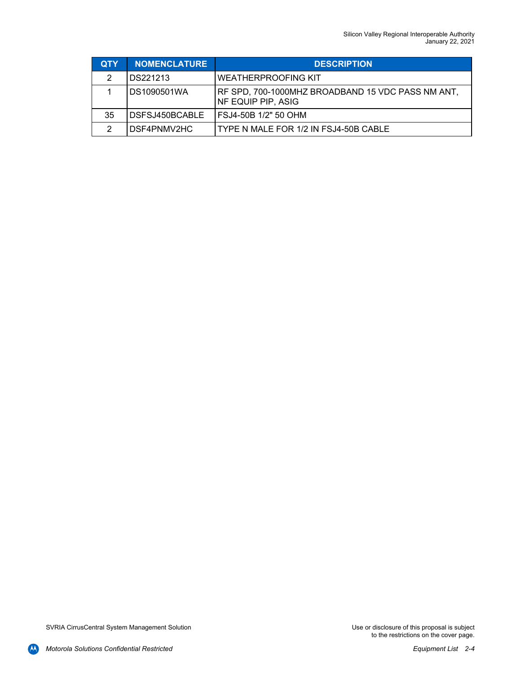| <b>QTY</b>    | <b>NOMENCLATURE</b> | <b>DESCRIPTION</b>                                                      |
|---------------|---------------------|-------------------------------------------------------------------------|
| 2             | DS221213            | <b>WEATHERPROOFING KIT</b>                                              |
|               | DS1090501WA         | RF SPD, 700-1000MHZ BROADBAND 15 VDC PASS NM ANT,<br>NF EQUIP PIP, ASIG |
| 35            | DSFSJ450BCABLE      | FSJ4-50B 1/2" 50 OHM                                                    |
| $\mathcal{P}$ | DSF4PNMV2HC         | TYPE N MALE FOR 1/2 IN FSJ4-50B CABLE                                   |

**AA**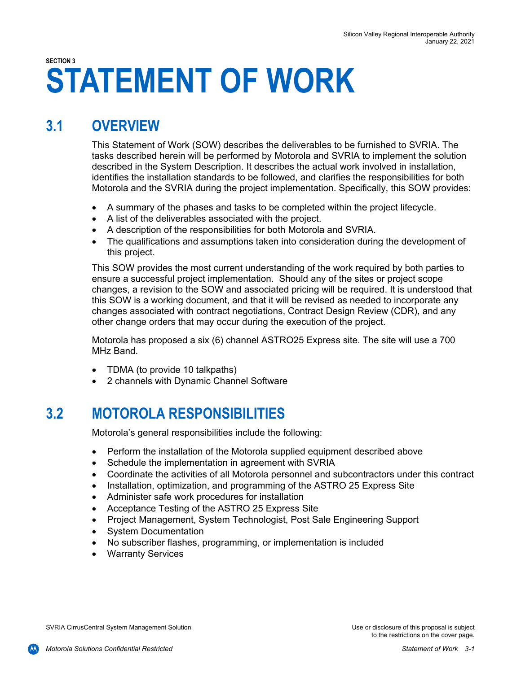# **SECTION 3 STATEMENT OF WORK**

### **3.1 OVERVIEW**

This Statement of Work (SOW) describes the deliverables to be furnished to SVRIA. The tasks described herein will be performed by Motorola and SVRIA to implement the solution described in the System Description. It describes the actual work involved in installation, identifies the installation standards to be followed, and clarifies the responsibilities for both Motorola and the SVRIA during the project implementation. Specifically, this SOW provides:

- A summary of the phases and tasks to be completed within the project lifecycle.
- A list of the deliverables associated with the project.
- A description of the responsibilities for both Motorola and SVRIA.
- The qualifications and assumptions taken into consideration during the development of this project.

This SOW provides the most current understanding of the work required by both parties to ensure a successful project implementation. Should any of the sites or project scope changes, a revision to the SOW and associated pricing will be required. It is understood that this SOW is a working document, and that it will be revised as needed to incorporate any changes associated with contract negotiations, Contract Design Review (CDR), and any other change orders that may occur during the execution of the project.

Motorola has proposed a six (6) channel ASTRO25 Express site. The site will use a 700 MHz Band.

- TDMA (to provide 10 talkpaths)
- 2 channels with Dynamic Channel Software

### **3.2 MOTOROLA RESPONSIBILITIES**

Motorola's general responsibilities include the following:

- Perform the installation of the Motorola supplied equipment described above
- Schedule the implementation in agreement with SVRIA
- Coordinate the activities of all Motorola personnel and subcontractors under this contract
- Installation, optimization, and programming of the ASTRO 25 Express Site
- Administer safe work procedures for installation
- Acceptance Testing of the ASTRO 25 Express Site
- Project Management, System Technologist, Post Sale Engineering Support
- System Documentation
- No subscriber flashes, programming, or implementation is included
- Warranty Services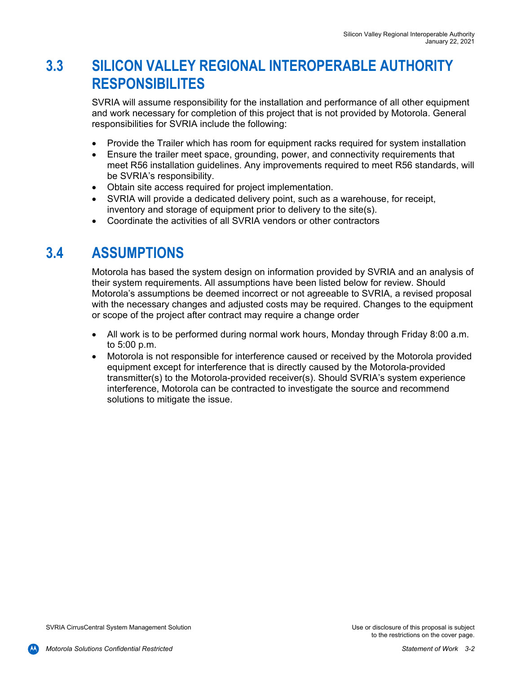### **3.3 SILICON VALLEY REGIONAL INTEROPERABLE AUTHORITY RESPONSIBILITES**

SVRIA will assume responsibility for the installation and performance of all other equipment and work necessary for completion of this project that is not provided by Motorola. General responsibilities for SVRIA include the following:

- Provide the Trailer which has room for equipment racks required for system installation
- Ensure the trailer meet space, grounding, power, and connectivity requirements that meet R56 installation guidelines. Any improvements required to meet R56 standards, will be SVRIA's responsibility.
- Obtain site access required for project implementation.
- SVRIA will provide a dedicated delivery point, such as a warehouse, for receipt, inventory and storage of equipment prior to delivery to the site(s).
- Coordinate the activities of all SVRIA vendors or other contractors

### **3.4 ASSUMPTIONS**

Motorola has based the system design on information provided by SVRIA and an analysis of their system requirements. All assumptions have been listed below for review. Should Motorola's assumptions be deemed incorrect or not agreeable to SVRIA, a revised proposal with the necessary changes and adjusted costs may be required. Changes to the equipment or scope of the project after contract may require a change order

- All work is to be performed during normal work hours, Monday through Friday 8:00 a.m. to 5:00 p.m.
- Motorola is not responsible for interference caused or received by the Motorola provided equipment except for interference that is directly caused by the Motorola-provided transmitter(s) to the Motorola-provided receiver(s). Should SVRIA's system experience interference, Motorola can be contracted to investigate the source and recommend solutions to mitigate the issue.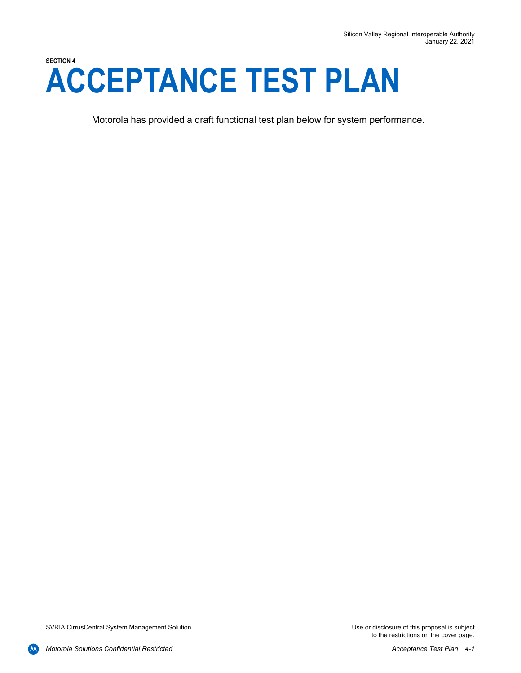## **SECTION 4 ACCEPTANCE TEST PLAN**

Motorola has provided a draft functional test plan below for system performance.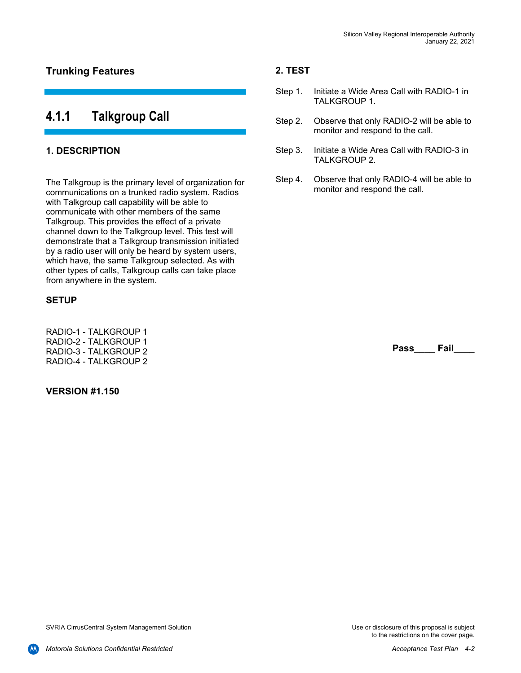#### **Trunking Features**

#### **4.1.1 Talkgroup Call**

#### **1. DESCRIPTION**

The Talkgroup is the primary level of organization for communications on a trunked radio system. Radios with Talkgroup call capability will be able to communicate with other members of the same Talkgroup. This provides the effect of a private channel down to the Talkgroup level. This test will demonstrate that a Talkgroup transmission initiated by a radio user will only be heard by system users, which have, the same Talkgroup selected. As with other types of calls, Talkgroup calls can take place from anywhere in the system.

#### **SETUP**

RADIO-1 - TALKGROUP 1 RADIO-2 - TALKGROUP 1 RADIO-3 - TALKGROUP 2 RADIO-4 - TALKGROUP 2

#### **VERSION #1.150**

#### **2. TEST**

- Step 1. Initiate a Wide Area Call with RADIO-1 in TALKGROUP 1.
- Step 2. Observe that only RADIO-2 will be able to monitor and respond to the call.
- Step 3. Initiate a Wide Area Call with RADIO-3 in TALKGROUP 2.
- Step 4. Observe that only RADIO-4 will be able to monitor and respond the call.

**Pass\_\_\_\_ Fail\_\_\_\_**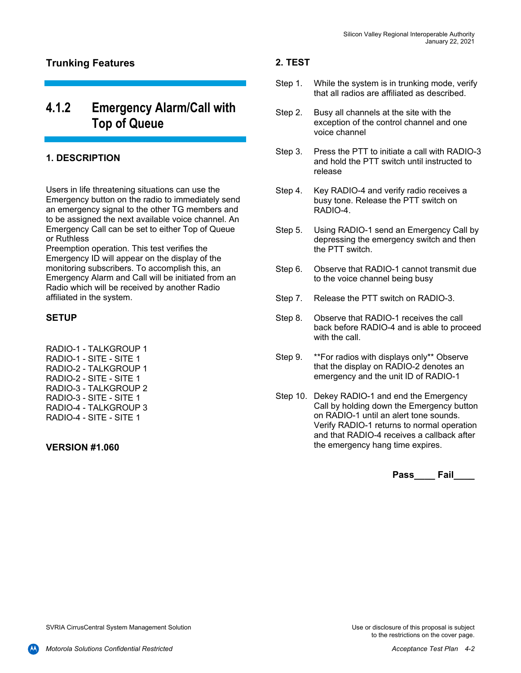#### **Trunking Features**

### **4.1.2 Emergency Alarm/Call with Top of Queue**

#### **1. DESCRIPTION**

Users in life threatening situations can use the Emergency button on the radio to immediately send an emergency signal to the other TG members and to be assigned the next available voice channel. An Emergency Call can be set to either Top of Queue or Ruthless

Preemption operation. This test verifies the Emergency ID will appear on the display of the monitoring subscribers. To accomplish this, an Emergency Alarm and Call will be initiated from an Radio which will be received by another Radio affiliated in the system.

#### **SETUP**

RADIO-1 - TALKGROUP 1 RADIO-1 - SITE - SITE 1 RADIO-2 - TALKGROUP 1 RADIO-2 - SITE - SITE 1 RADIO-3 - TALKGROUP 2 RADIO-3 - SITE - SITE 1 RADIO-4 - TALKGROUP 3 RADIO-4 - SITE - SITE 1

#### **VERSION #1.060**

#### **2. TEST**

- Step 1. While the system is in trunking mode, verify that all radios are affiliated as described.
- Step 2. Busy all channels at the site with the exception of the control channel and one voice channel
- Step 3. Press the PTT to initiate a call with RADIO-3 and hold the PTT switch until instructed to release
- Step 4. Key RADIO-4 and verify radio receives a busy tone. Release the PTT switch on RADIO-4.
- Step 5. Using RADIO-1 send an Emergency Call by depressing the emergency switch and then the PTT switch.
- Step 6. Observe that RADIO-1 cannot transmit due to the voice channel being busy
- Step 7. Release the PTT switch on RADIO-3.
- Step 8. Observe that RADIO-1 receives the call back before RADIO-4 and is able to proceed with the call.
- Step 9. \*\*For radios with displays only\*\* Observe that the display on RADIO-2 denotes an emergency and the unit ID of RADIO-1
- Step 10. Dekey RADIO-1 and end the Emergency Call by holding down the Emergency button on RADIO-1 until an alert tone sounds. Verify RADIO-1 returns to normal operation and that RADIO-4 receives a callback after the emergency hang time expires.

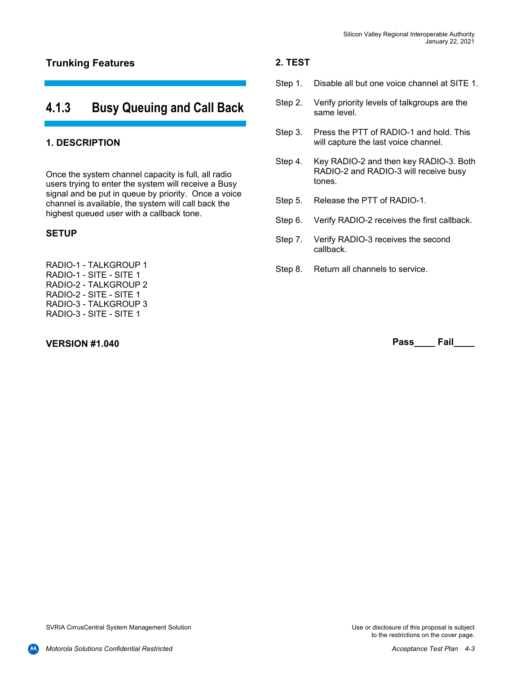#### **Trunking Features**

### **4.1.3 Busy Queuing and Call Back**

#### **1. DESCRIPTION**

Once the system channel capacity is full, all radio users trying to enter the system will receive a Busy signal and be put in queue by priority. Once a voice channel is available, the system will call back the highest queued user with a callback tone.

#### **SETUP**

RADIO-1 - TALKGROUP 1 RADIO-1 - SITE - SITE 1 RADIO-2 - TALKGROUP 2 RADIO-2 - SITE - SITE 1 RADIO-3 - TALKGROUP 3 RADIO-3 - SITE - SITE 1

#### **VERSION #1.040**

#### **2. TEST**

- Step 1. Disable all but one voice channel at SITE 1.
- Step 2. Verify priority levels of talkgroups are the same level.
- Step 3. Press the PTT of RADIO-1 and hold. This will capture the last voice channel.
- Step 4. Key RADIO-2 and then key RADIO-3. Both RADIO-2 and RADIO-3 will receive busy tones.
- Step 5. Release the PTT of RADIO-1.
- Step 6. Verify RADIO-2 receives the first callback.
- Step 7. Verify RADIO-3 receives the second callback.
- Step 8. Return all channels to service.

**Pass\_\_\_\_ Fail\_\_\_\_** 

to the restrictions on the cover page.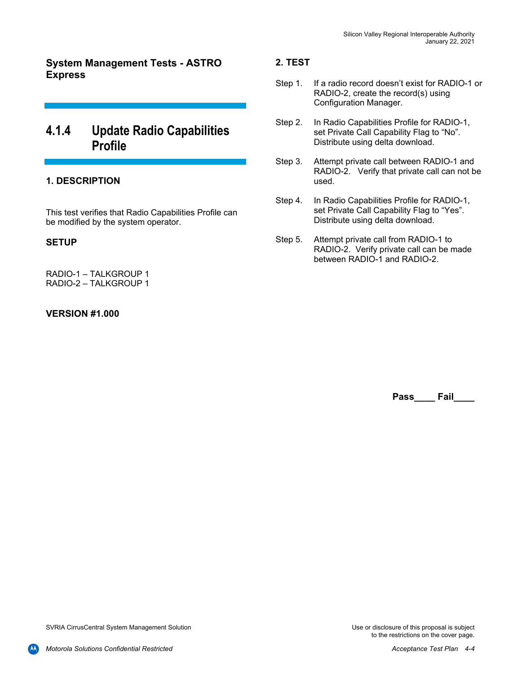**System Management Tests - ASTRO Express** 

### **4.1.4 Update Radio Capabilities Profile**

#### **1. DESCRIPTION**

This test verifies that Radio Capabilities Profile can be modified by the system operator.

#### **SETUP**

RADIO-1 – TALKGROUP 1 RADIO-2 – TALKGROUP 1

#### **VERSION #1.000**

#### **2. TEST**

- Step 1. If a radio record doesn't exist for RADIO-1 or RADIO-2, create the record(s) using Configuration Manager.
- Step 2. In Radio Capabilities Profile for RADIO-1, set Private Call Capability Flag to "No". Distribute using delta download.
- Step 3. Attempt private call between RADIO-1 and RADIO-2. Verify that private call can not be used.
- Step 4. In Radio Capabilities Profile for RADIO-1, set Private Call Capability Flag to "Yes". Distribute using delta download.
- Step 5. Attempt private call from RADIO-1 to RADIO-2. Verify private call can be made between RADIO-1 and RADIO-2.

**Pass\_\_\_\_ Fail\_\_\_\_**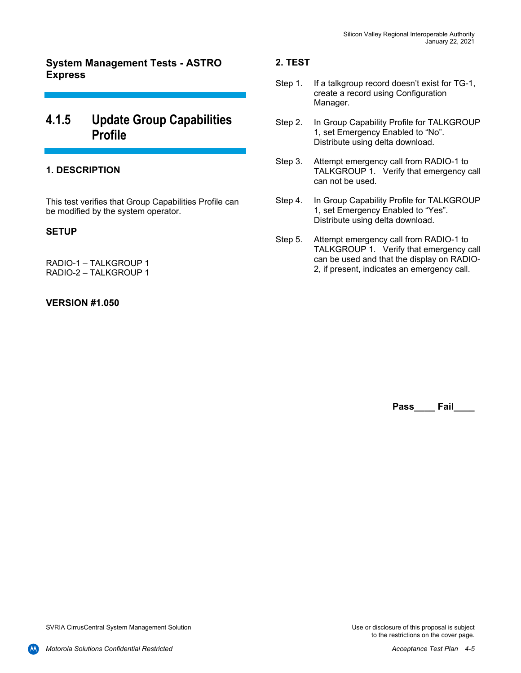**System Management Tests - ASTRO Express** 

### **4.1.5 Update Group Capabilities Profile**

#### **1. DESCRIPTION**

This test verifies that Group Capabilities Profile can be modified by the system operator.

#### **SETUP**

RADIO-1 – TALKGROUP 1 RADIO-2 – TALKGROUP 1

#### **VERSION #1.050**

#### **2. TEST**

- Step 1. If a talkgroup record doesn't exist for TG-1, create a record using Configuration Manager.
- Step 2. In Group Capability Profile for TALKGROUP 1, set Emergency Enabled to "No". Distribute using delta download.
- Step 3. Attempt emergency call from RADIO-1 to TALKGROUP 1. Verify that emergency call can not be used.
- Step 4. In Group Capability Profile for TALKGROUP 1, set Emergency Enabled to "Yes". Distribute using delta download.
- Step 5. Attempt emergency call from RADIO-1 to TALKGROUP 1. Verify that emergency call can be used and that the display on RADIO-2, if present, indicates an emergency call.

**Pass\_\_\_\_ Fail\_\_\_\_**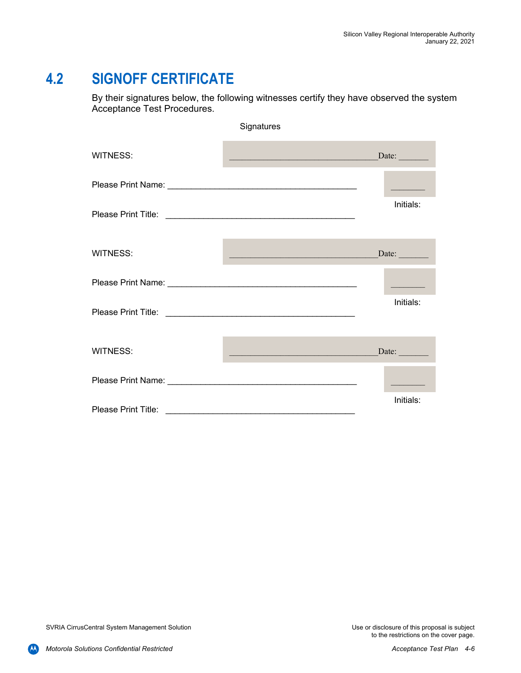### **4.2 SIGNOFF CERTIFICATE**

By their signatures below, the following witnesses certify they have observed the system Acceptance Test Procedures.

|                 | Signatures                                                                                                            |                                     |
|-----------------|-----------------------------------------------------------------------------------------------------------------------|-------------------------------------|
| <b>WITNESS:</b> | <u> 1989 - Johann Johann Stoff, deutscher Stoffen und der Stoffen und der Stoffen und der Stoffen und der Stoffen</u> | $\frac{\text{Date:}}{\text{Date:}}$ |
|                 |                                                                                                                       |                                     |
|                 |                                                                                                                       | Initials:                           |
| <b>WITNESS:</b> | <u> Alexandria (Alexandria de Alexandria de Alexandria de Alexandria de Alexandria de Alexandria de Alexandria d</u>  | Date:                               |
|                 |                                                                                                                       |                                     |
|                 |                                                                                                                       | Initials:                           |
| <b>WITNESS:</b> | <u> 1989 - Johann John Stone, mars eta bainar eta industrial eta erromana eta erromana eta erromana eta erromana</u>  | $\text{Date:}$                      |
|                 |                                                                                                                       |                                     |
|                 |                                                                                                                       | Initials:                           |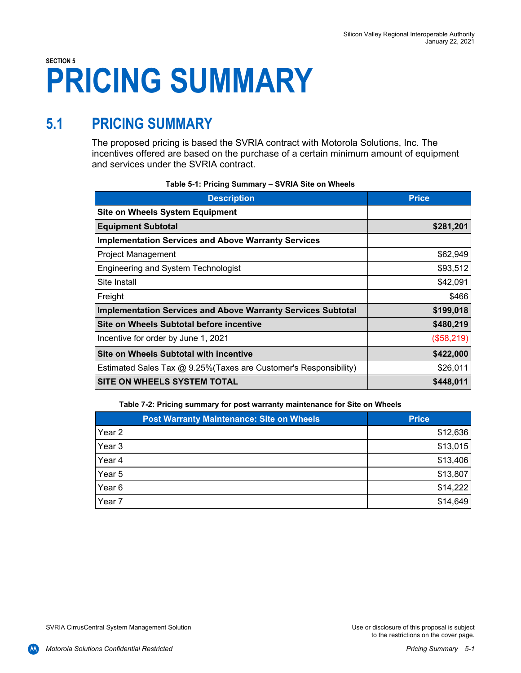# **SECTION 5 PRICING SUMMARY**

### **5.1 PRICING SUMMARY**

The proposed pricing is based the SVRIA contract with Motorola Solutions, Inc. The incentives offered are based on the purchase of a certain minimum amount of equipment and services under the SVRIA contract.

| <b>Description</b>                                                  | <b>Price</b> |
|---------------------------------------------------------------------|--------------|
| <b>Site on Wheels System Equipment</b>                              |              |
| <b>Equipment Subtotal</b>                                           | \$281,201    |
| <b>Implementation Services and Above Warranty Services</b>          |              |
| <b>Project Management</b>                                           | \$62,949     |
| Engineering and System Technologist                                 | \$93,512     |
| Site Install                                                        | \$42,091     |
| Freight                                                             | \$466        |
| <b>Implementation Services and Above Warranty Services Subtotal</b> | \$199,018    |
| Site on Wheels Subtotal before incentive                            | \$480,219    |
| Incentive for order by June 1, 2021                                 | (\$58,219)   |
| Site on Wheels Subtotal with incentive                              | \$422,000    |
| Estimated Sales Tax @ 9.25% (Taxes are Customer's Responsibility)   | \$26,011     |
| SITE ON WHEELS SYSTEM TOTAL                                         | \$448,011    |

**Table 7-2: Pricing summary for post warranty maintenance for Site on Wheels** 

|                   | <b>Post Warranty Maintenance: Site on Wheels</b> | <b>Price</b> |
|-------------------|--------------------------------------------------|--------------|
| Year <sub>2</sub> |                                                  | \$12,636     |
| Year 3            |                                                  | \$13,015     |
| Year 4            |                                                  | \$13,406     |
| Year 5            |                                                  | \$13,807     |
| Year 6            |                                                  | \$14,222     |
| Year 7            |                                                  | \$14,649     |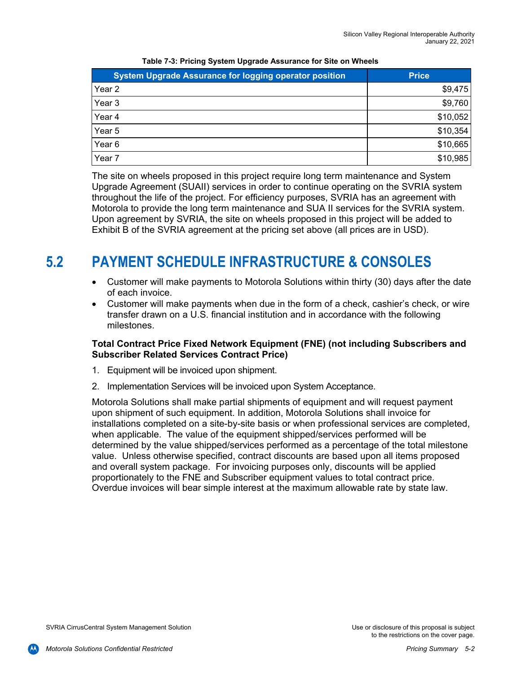| <b>System Upgrade Assurance for logging operator position</b> | <b>Price</b> |
|---------------------------------------------------------------|--------------|
| Year 2                                                        | \$9,475      |
| Year 3                                                        | \$9,760      |
| Year 4                                                        | \$10,052     |
| Year 5                                                        | \$10,354     |
| Year 6                                                        | \$10,665     |
| Year 7                                                        | \$10,985     |

**Table 7-3: Pricing System Upgrade Assurance for Site on Wheels** 

The site on wheels proposed in this project require long term maintenance and System Upgrade Agreement (SUAII) services in order to continue operating on the SVRIA system throughout the life of the project. For efficiency purposes, SVRIA has an agreement with Motorola to provide the long term maintenance and SUA II services for the SVRIA system. Upon agreement by SVRIA, the site on wheels proposed in this project will be added to Exhibit B of the SVRIA agreement at the pricing set above (all prices are in USD).

### **5.2 PAYMENT SCHEDULE INFRASTRUCTURE & CONSOLES**

- Customer will make payments to Motorola Solutions within thirty (30) days after the date of each invoice.
- Customer will make payments when due in the form of a check, cashier's check, or wire transfer drawn on a U.S. financial institution and in accordance with the following milestones.

#### **Total Contract Price Fixed Network Equipment (FNE) (not including Subscribers and Subscriber Related Services Contract Price)**

- 1. Equipment will be invoiced upon shipment.
- 2. Implementation Services will be invoiced upon System Acceptance.

Motorola Solutions shall make partial shipments of equipment and will request payment upon shipment of such equipment. In addition, Motorola Solutions shall invoice for installations completed on a site-by-site basis or when professional services are completed, when applicable. The value of the equipment shipped/services performed will be determined by the value shipped/services performed as a percentage of the total milestone value. Unless otherwise specified, contract discounts are based upon all items proposed and overall system package. For invoicing purposes only, discounts will be applied proportionately to the FNE and Subscriber equipment values to total contract price. Overdue invoices will bear simple interest at the maximum allowable rate by state law.